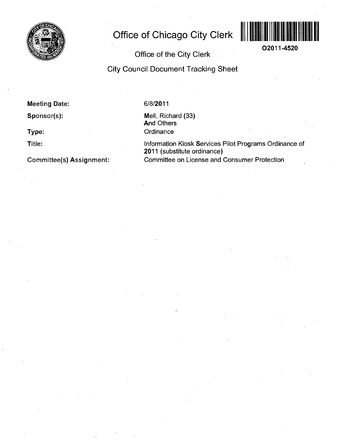

# **Office of Chicago City Clerk**



**02011-4520** 

## **Office of the City Clerk**

**City Council Document Tracking Sheet** 

**Meeting Date:** 

**Sponsor(s):** 

**Type:** 

**Title:** 

**Committee(s) Assignment:** 

#### 6/8/2011

Mell, Richard (33) And Others **Ordinance** 

Information Kiosk Services Pilot Programs Ordinance of 2011 (substitute ordinance) Committee on License and Consumer Protection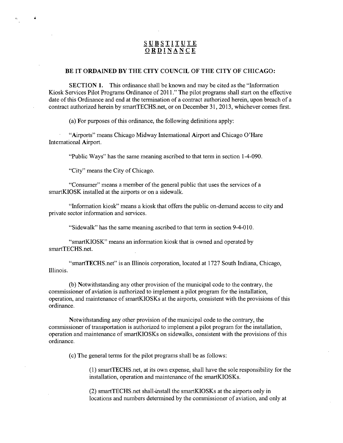### **SUBSTITUT E O R D I N~A N C E**

#### **BE IT ORDAINED BY THE CITY COUNCIL OF THE CITY OF CHICAGO:**

SECTION 1. This ordinance shall be known and may be cited as the "Information Kiosk Services Pilot Programs Ordinance of 2011." The pilot programs shall start on the effective date of this Ordinance and end at the termination of a contract authorized herein, upon breach of a contract authorized herein by smartTECHS.net, or on December 31, 2013, whichever comes first.

(a) For purposes of this ordinance, the following definitions apply:

"Airports" means Chicago Midway Intemational Airport and Chicago O'Hare Intemational Airport.

"Public Ways" has the same meaning ascribed to that term in section 1-4-090.

"City" means the City of Chicago.

"Consumer" means a member of the general public that uses the services of a smartKIOSK installed at the airports or on a sidewalk.

"Information kiosk" means a kiosk that offers the public on-demand access to city and private sector information and services.

"Sidewalk" has the same meaning ascribed to that term in section 9-4-010.

"smartKIOSK" means an information kiosk that is owned and operated by smartTECHS.net.

"smartTECHS.net" is an Illinois corporation, located at 1727 South Indiana, Chicago, Illinois.

(b) Notwithstanding any other provision of the municipal code to the contrary, the commissioner of aviation is authorized to implement a pilot program for the installation, operation, and maintenance of smartKIOSKs at the airports, consistent with the provisions of this ordinance.

Notwithstanding any other provision of the municipal code to the contrary, the commissioner of transportation is authorized to implement a pilot program for the installation, operation and maintenance of smartKIOSKs on sidewalks, consistent with the provisions of this ordinance.

(c) The general terms for the pilot programs shall be as follows:

(1) smartTECHS.net, at its own expense, shall have the sole responsibility for the installation, operation and maintenance of the smartKIOSKs.

(2) smartTECHS.net shall-install the smartKIOSKs at the airports only in locations and numbers determined by the commissioner of aviation, and only at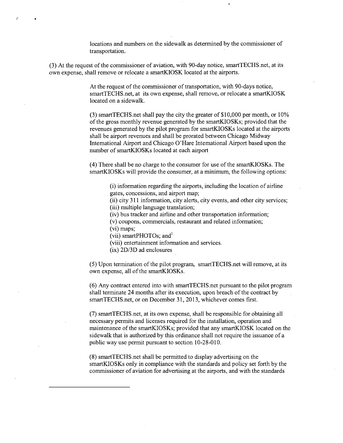locations and numbers on the sidewalk as determined by the commissioner of transportation.

(3) At the request of the commissioner of aviation, with 90-day notice, smartTECHS.net, at its own expense, shall remove or relocate a smartKIOSK located at the airports.

> At the request of the commissioner of transportation, with 90-days notice, smartTECHS.net, at its own expense, shall remove, or relocate a smartKIOSK located on a sidewalk.

(3) smartTECHS.net shall pay the city the greater of \$10,000 per month, or 10% of the gross monthly revenue generated by the smartKIOSKs; provided that the revenues generated by the pilot program for smartKIOSKs located at the airports shall be airport revenues and shall be prorated between Chicago Midway Intemational Airport and Chicago O'Hare Intemational Airport based upon the number of smartKIOSKs located at each airport

(4) There shall be no charge to the consumer for use of the smartKIOSKs. The smartKIOSKs will provide the consumer, at a minimum, the following options:

> (i) information regarding the airports, including the location of airline gates, concessions, and airport map;

(ii) city 311 information, city alerts, city events, and other city services; (iii) multiple language translation;

(iv) bus tracker and airline and other transportation information;

(v) coupons, commercials, restaurant and related information;

(vi) maps;

D

(vii) smartPHOTOs; and<sup>1</sup>

(viii) entertainment information and services.

(ix) 2D/3D ad enclosures

(5) Upon termination ofthe pilot program, smartTECHS.net will remove, at its own expense, all of the smartKIOSKs.

(6) Any contract entered into with smartTECHS.net pursuant to the pilot program shall terminate 24 months after its execution, upon breach of the contract by smartTECHS.net, or on December 31, 2013, whichever comes first.

(7) smartTECHS.net, at its own expense, shall be responsible for obtaining all necessary permits and licenses required for the installation, operation and maintenance of the smartKIOSKs; provided that any smartKIOSK located on the sidewalk that is authorized by this ordinance shall not require the issuance of a public way use permit pursuant to section 10-28-010.

(8) smartTECHS.net shall be permitted to display advertising on the smartKIOSKs only in compliance with the standards and policy set forth by the commissioner of aviation for advertising at the airports, and with the standards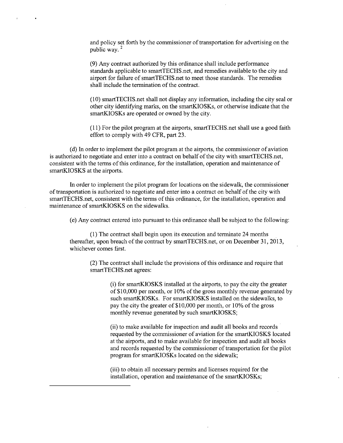and policy set forth by the commissioner of transportation for advertising on the public way.

(9) Any contract authorized by this ordinance shall include performance standards applicable to smartTECHS.net, and remedies available to the city and airport for failure of smartTECHS.net to meet those standards. The remedies shall include the termination of the contract.

(10) smartTECHS.net shall not display any information, including the city seal or other city identifying marks, on the smartKIOSKs, or otherwise indicate that the smartKIOSKs are operated or owned by the city.

(11) For the pilot program at the airports, smartTECHS.net shall use a good faith effort to comply with 49 CFR, part 23.

(d) In order to implement the pilot program at the airports, the commissioner of aviation is authorized to negotiate and enter into a contract on behalf of the city with smartTECHS.net, consistent with the terms of this ordinance, for the installation, operation and maintenance of smartKIOSKS at the airports.

In order to implement the pilot program for locations on the sidewalk, the commissioner of transportation is authorized to negotiate and enter into a contract on behalf of the city with smartTECHS.net, consistent with the terms of this ordinance, for the installation, operation and maintenance of smartKIOSKS on the sidewalks.

(e) Any contract entered into pursuant to this ordinance shall be subject to the following:

(1) The contract shall begin upon its execution and terminate 24 months thereafter, upon breach of the contract by smartTECHS.net, or on December 31, 2013, whichever comes first.

(2) The contract shall include the provisions of this ordinance and require that smartTECHS.net agrees:

> (i) for smartKIOSKS installed at the airports, to pay the city the greater of \$10,000 per month, or 10% of the gross monthly revenue generated by such smartKIOSKs. For smartKIOSKS installed on the sidewalks, to pay the city the greater of \$10,000 per month, or 10% of the gross monthly revenue generated by such smartKIOSKS;

> (ii) to make available for inspection and audit all books and records requested by the commissioner of aviation for the smartKIOSKS located at the airports, and to make available for inspection and audit all books and records requested by the commissioner of transportation for the pilot program for smartKIOSKs located on the sidewalk;

(iii) to obtain all necessary permits and licenses required for the installation, operation and maintenance of the smartKIOSKs;